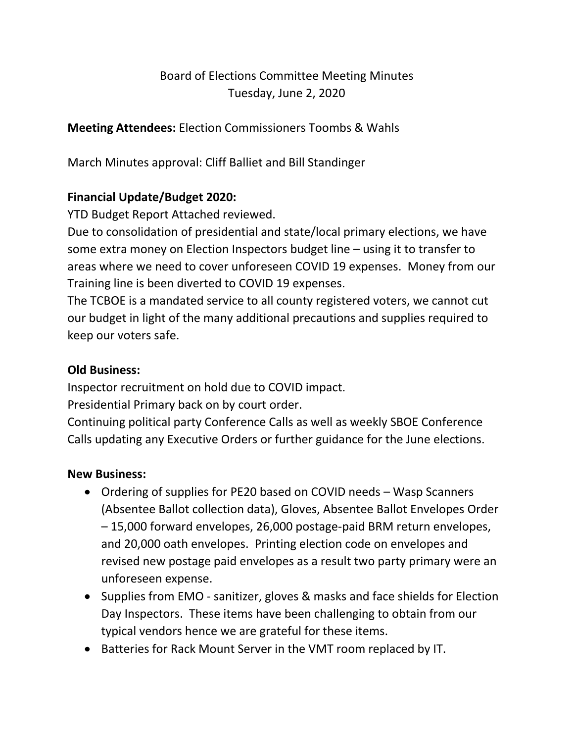# Board of Elections Committee Meeting Minutes Tuesday, June 2, 2020

**Meeting Attendees:** Election Commissioners Toombs & Wahls

March Minutes approval: Cliff Balliet and Bill Standinger

# **Financial Update/Budget 2020:**

YTD Budget Report Attached reviewed.

Due to consolidation of presidential and state/local primary elections, we have some extra money on Election Inspectors budget line – using it to transfer to areas where we need to cover unforeseen COVID 19 expenses. Money from our Training line is been diverted to COVID 19 expenses.

The TCBOE is a mandated service to all county registered voters, we cannot cut our budget in light of the many additional precautions and supplies required to keep our voters safe.

# **Old Business:**

Inspector recruitment on hold due to COVID impact.

Presidential Primary back on by court order.

Continuing political party Conference Calls as well as weekly SBOE Conference Calls updating any Executive Orders or further guidance for the June elections.

# **New Business:**

- Ordering of supplies for PE20 based on COVID needs Wasp Scanners (Absentee Ballot collection data), Gloves, Absentee Ballot Envelopes Order – 15,000 forward envelopes, 26,000 postage-paid BRM return envelopes, and 20,000 oath envelopes. Printing election code on envelopes and revised new postage paid envelopes as a result two party primary were an unforeseen expense.
- Supplies from EMO sanitizer, gloves & masks and face shields for Election Day Inspectors. These items have been challenging to obtain from our typical vendors hence we are grateful for these items.
- Batteries for Rack Mount Server in the VMT room replaced by IT.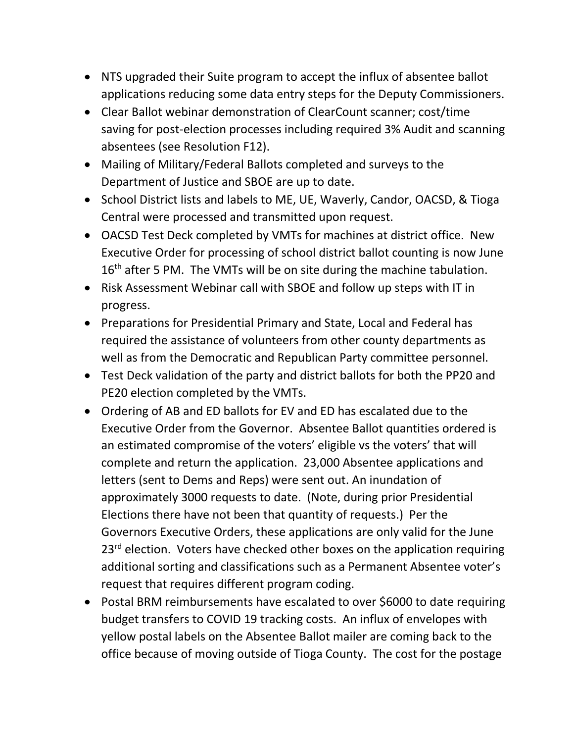- NTS upgraded their Suite program to accept the influx of absentee ballot applications reducing some data entry steps for the Deputy Commissioners.
- Clear Ballot webinar demonstration of ClearCount scanner; cost/time saving for post-election processes including required 3% Audit and scanning absentees (see Resolution F12).
- Mailing of Military/Federal Ballots completed and surveys to the Department of Justice and SBOE are up to date.
- School District lists and labels to ME, UE, Waverly, Candor, OACSD, & Tioga Central were processed and transmitted upon request.
- OACSD Test Deck completed by VMTs for machines at district office. New Executive Order for processing of school district ballot counting is now June 16<sup>th</sup> after 5 PM. The VMTs will be on site during the machine tabulation.
- Risk Assessment Webinar call with SBOE and follow up steps with IT in progress.
- Preparations for Presidential Primary and State, Local and Federal has required the assistance of volunteers from other county departments as well as from the Democratic and Republican Party committee personnel.
- Test Deck validation of the party and district ballots for both the PP20 and PE20 election completed by the VMTs.
- Ordering of AB and ED ballots for EV and ED has escalated due to the Executive Order from the Governor. Absentee Ballot quantities ordered is an estimated compromise of the voters' eligible vs the voters' that will complete and return the application. 23,000 Absentee applications and letters (sent to Dems and Reps) were sent out. An inundation of approximately 3000 requests to date. (Note, during prior Presidential Elections there have not been that quantity of requests.) Per the Governors Executive Orders, these applications are only valid for the June  $23<sup>rd</sup>$  election. Voters have checked other boxes on the application requiring additional sorting and classifications such as a Permanent Absentee voter's request that requires different program coding.
- Postal BRM reimbursements have escalated to over \$6000 to date requiring budget transfers to COVID 19 tracking costs. An influx of envelopes with yellow postal labels on the Absentee Ballot mailer are coming back to the office because of moving outside of Tioga County. The cost for the postage